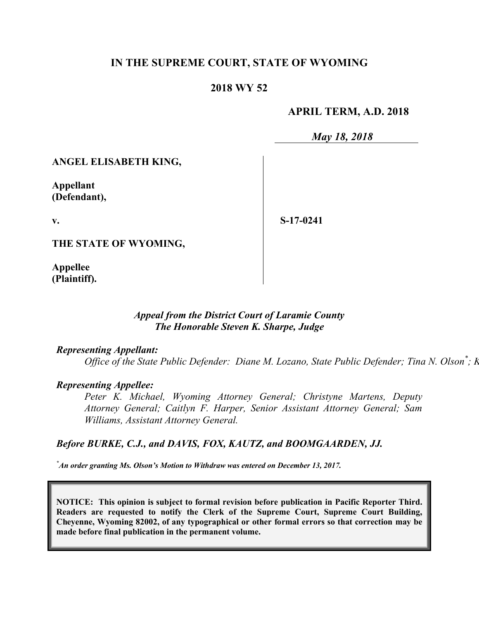# **IN THE SUPREME COURT, STATE OF WYOMING**

## **2018 WY 52**

## **APRIL TERM, A.D. 2018**

*May 18, 2018*

## **ANGEL ELISABETH KING,**

**Appellant (Defendant),**

**v.**

**S-17-0241**

**THE STATE OF WYOMING,**

**Appellee (Plaintiff).**

## *Appeal from the District Court of Laramie County The Honorable Steven K. Sharpe, Judge*

## *Representing Appellant:*

*Office of the State Public Defender: Diane M. Lozano, State Public Defender; Tina N. Olson<sup>\*</sup>; K* 

#### *Representing Appellee:*

*Peter K. Michael, Wyoming Attorney General; Christyne Martens, Deputy Attorney General; Caitlyn F. Harper, Senior Assistant Attorney General; Sam Williams, Assistant Attorney General.*

#### *Before BURKE, C.J., and DAVIS, FOX, KAUTZ, and BOOMGAARDEN, JJ.*

*\*An order granting Ms. Olson's Motion to Withdraw was entered on December 13, 2017.*

**NOTICE: This opinion is subject to formal revision before publication in Pacific Reporter Third. Readers are requested to notify the Clerk of the Supreme Court, Supreme Court Building, Cheyenne, Wyoming 82002, of any typographical or other formal errors so that correction may be made before final publication in the permanent volume.**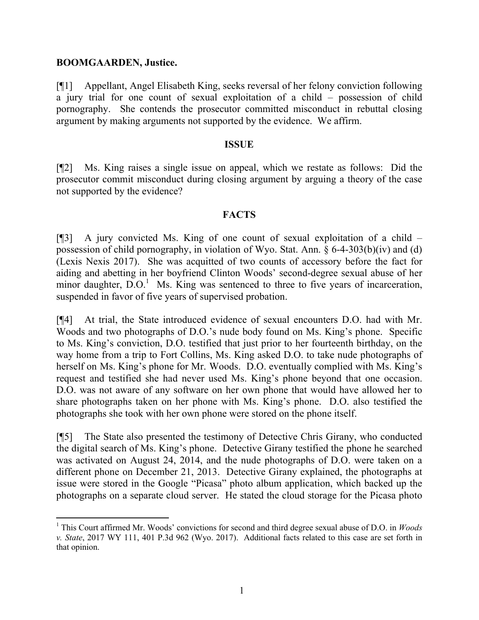## **BOOMGAARDEN, Justice.**

 $\overline{a}$ 

[¶1] Appellant, Angel Elisabeth King, seeks reversal of her felony conviction following a jury trial for one count of sexual exploitation of a child – possession of child pornography. She contends the prosecutor committed misconduct in rebuttal closing argument by making arguments not supported by the evidence. We affirm.

#### **ISSUE**

[¶2] Ms. King raises a single issue on appeal, which we restate as follows: Did the prosecutor commit misconduct during closing argument by arguing a theory of the case not supported by the evidence?

## **FACTS**

[¶3] A jury convicted Ms. King of one count of sexual exploitation of a child – possession of child pornography, in violation of Wyo. Stat. Ann. § 6-4-303(b)(iv) and (d) (Lexis Nexis 2017). She was acquitted of two counts of accessory before the fact for aiding and abetting in her boyfriend Clinton Woods' second-degree sexual abuse of her minor daughter,  $D.O.1$  Ms. King was sentenced to three to five years of incarceration, suspended in favor of five years of supervised probation.

[¶4] At trial, the State introduced evidence of sexual encounters D.O. had with Mr. Woods and two photographs of D.O.'s nude body found on Ms. King's phone. Specific to Ms. King's conviction, D.O. testified that just prior to her fourteenth birthday, on the way home from a trip to Fort Collins, Ms. King asked D.O. to take nude photographs of herself on Ms. King's phone for Mr. Woods. D.O. eventually complied with Ms. King's request and testified she had never used Ms. King's phone beyond that one occasion. D.O. was not aware of any software on her own phone that would have allowed her to share photographs taken on her phone with Ms. King's phone. D.O. also testified the photographs she took with her own phone were stored on the phone itself.

[¶5] The State also presented the testimony of Detective Chris Girany, who conducted the digital search of Ms. King's phone. Detective Girany testified the phone he searched was activated on August 24, 2014, and the nude photographs of D.O. were taken on a different phone on December 21, 2013. Detective Girany explained, the photographs at issue were stored in the Google "Picasa" photo album application, which backed up the photographs on a separate cloud server. He stated the cloud storage for the Picasa photo

<sup>1</sup> This Court affirmed Mr. Woods' convictions for second and third degree sexual abuse of D.O. in *Woods v. State*, 2017 WY 111, 401 P.3d 962 (Wyo. 2017). Additional facts related to this case are set forth in that opinion.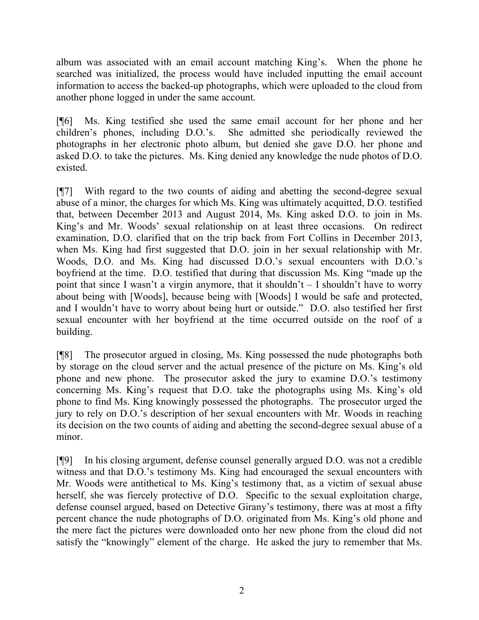album was associated with an email account matching King's. When the phone he searched was initialized, the process would have included inputting the email account information to access the backed-up photographs, which were uploaded to the cloud from another phone logged in under the same account.

[¶6] Ms. King testified she used the same email account for her phone and her children's phones, including D.O.'s. She admitted she periodically reviewed the photographs in her electronic photo album, but denied she gave D.O. her phone and asked D.O. to take the pictures. Ms. King denied any knowledge the nude photos of D.O. existed.

[¶7] With regard to the two counts of aiding and abetting the second-degree sexual abuse of a minor, the charges for which Ms. King was ultimately acquitted, D.O. testified that, between December 2013 and August 2014, Ms. King asked D.O. to join in Ms. King's and Mr. Woods' sexual relationship on at least three occasions. On redirect examination, D.O. clarified that on the trip back from Fort Collins in December 2013, when Ms. King had first suggested that D.O. join in her sexual relationship with Mr. Woods, D.O. and Ms. King had discussed D.O.'s sexual encounters with D.O.'s boyfriend at the time. D.O. testified that during that discussion Ms. King "made up the point that since I wasn't a virgin anymore, that it shouldn't – I shouldn't have to worry about being with [Woods], because being with [Woods] I would be safe and protected, and I wouldn't have to worry about being hurt or outside." D.O. also testified her first sexual encounter with her boyfriend at the time occurred outside on the roof of a building.

[¶8] The prosecutor argued in closing, Ms. King possessed the nude photographs both by storage on the cloud server and the actual presence of the picture on Ms. King's old phone and new phone. The prosecutor asked the jury to examine D.O.'s testimony concerning Ms. King's request that D.O. take the photographs using Ms. King's old phone to find Ms. King knowingly possessed the photographs. The prosecutor urged the jury to rely on D.O.'s description of her sexual encounters with Mr. Woods in reaching its decision on the two counts of aiding and abetting the second-degree sexual abuse of a minor.

[¶9] In his closing argument, defense counsel generally argued D.O. was not a credible witness and that D.O.'s testimony Ms. King had encouraged the sexual encounters with Mr. Woods were antithetical to Ms. King's testimony that, as a victim of sexual abuse herself, she was fiercely protective of D.O. Specific to the sexual exploitation charge, defense counsel argued, based on Detective Girany's testimony, there was at most a fifty percent chance the nude photographs of D.O. originated from Ms. King's old phone and the mere fact the pictures were downloaded onto her new phone from the cloud did not satisfy the "knowingly" element of the charge. He asked the jury to remember that Ms.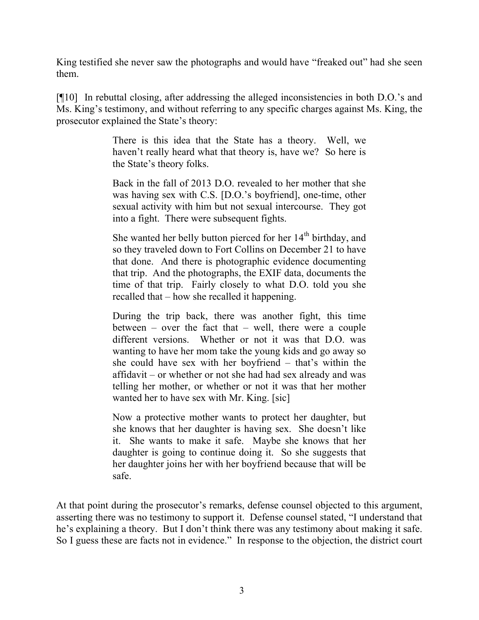King testified she never saw the photographs and would have "freaked out" had she seen them.

[¶10] In rebuttal closing, after addressing the alleged inconsistencies in both D.O.'s and Ms. King's testimony, and without referring to any specific charges against Ms. King, the prosecutor explained the State's theory:

> There is this idea that the State has a theory. Well, we haven't really heard what that theory is, have we? So here is the State's theory folks.

> Back in the fall of 2013 D.O. revealed to her mother that she was having sex with C.S. [D.O.'s boyfriend], one-time, other sexual activity with him but not sexual intercourse. They got into a fight. There were subsequent fights.

> She wanted her belly button pierced for her  $14<sup>th</sup>$  birthday, and so they traveled down to Fort Collins on December 21 to have that done. And there is photographic evidence documenting that trip. And the photographs, the EXIF data, documents the time of that trip. Fairly closely to what D.O. told you she recalled that – how she recalled it happening.

> During the trip back, there was another fight, this time between – over the fact that – well, there were a couple different versions. Whether or not it was that D.O. was wanting to have her mom take the young kids and go away so she could have sex with her boyfriend – that's within the affidavit – or whether or not she had had sex already and was telling her mother, or whether or not it was that her mother wanted her to have sex with Mr. King. [sic]

> Now a protective mother wants to protect her daughter, but she knows that her daughter is having sex. She doesn't like it. She wants to make it safe. Maybe she knows that her daughter is going to continue doing it. So she suggests that her daughter joins her with her boyfriend because that will be safe.

At that point during the prosecutor's remarks, defense counsel objected to this argument, asserting there was no testimony to support it. Defense counsel stated, "I understand that he's explaining a theory. But I don't think there was any testimony about making it safe. So I guess these are facts not in evidence." In response to the objection, the district court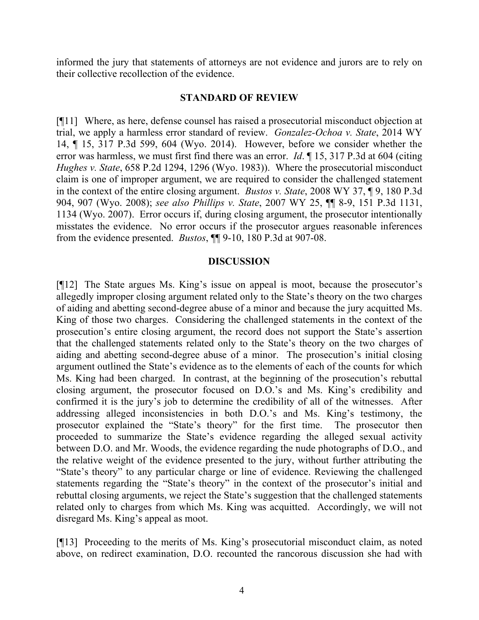informed the jury that statements of attorneys are not evidence and jurors are to rely on their collective recollection of the evidence.

## **STANDARD OF REVIEW**

[¶11] Where, as here, defense counsel has raised a prosecutorial misconduct objection at trial, we apply a harmless error standard of review. *Gonzalez-Ochoa v. State*, 2014 WY 14, ¶ 15, 317 P.3d 599, 604 (Wyo. 2014). However, before we consider whether the error was harmless, we must first find there was an error. *Id*. ¶ 15, 317 P.3d at 604 (citing *Hughes v. State*, 658 P.2d 1294, 1296 (Wyo. 1983)). Where the prosecutorial misconduct claim is one of improper argument, we are required to consider the challenged statement in the context of the entire closing argument. *Bustos v. State*, 2008 WY 37, ¶ 9, 180 P.3d 904, 907 (Wyo. 2008); *see also Phillips v. State*, 2007 WY 25, ¶¶ 8-9, 151 P.3d 1131, 1134 (Wyo. 2007). Error occurs if, during closing argument, the prosecutor intentionally misstates the evidence. No error occurs if the prosecutor argues reasonable inferences from the evidence presented. *Bustos*, ¶¶ 9-10, 180 P.3d at 907-08.

#### **DISCUSSION**

[¶12] The State argues Ms. King's issue on appeal is moot, because the prosecutor's allegedly improper closing argument related only to the State's theory on the two charges of aiding and abetting second-degree abuse of a minor and because the jury acquitted Ms. King of those two charges. Considering the challenged statements in the context of the prosecution's entire closing argument, the record does not support the State's assertion that the challenged statements related only to the State's theory on the two charges of aiding and abetting second-degree abuse of a minor. The prosecution's initial closing argument outlined the State's evidence as to the elements of each of the counts for which Ms. King had been charged. In contrast, at the beginning of the prosecution's rebuttal closing argument, the prosecutor focused on D.O.'s and Ms. King's credibility and confirmed it is the jury's job to determine the credibility of all of the witnesses. After addressing alleged inconsistencies in both D.O.'s and Ms. King's testimony, the prosecutor explained the "State's theory" for the first time. The prosecutor then proceeded to summarize the State's evidence regarding the alleged sexual activity between D.O. and Mr. Woods, the evidence regarding the nude photographs of D.O., and the relative weight of the evidence presented to the jury, without further attributing the "State's theory" to any particular charge or line of evidence. Reviewing the challenged statements regarding the "State's theory" in the context of the prosecutor's initial and rebuttal closing arguments, we reject the State's suggestion that the challenged statements related only to charges from which Ms. King was acquitted. Accordingly, we will not disregard Ms. King's appeal as moot.

[¶13] Proceeding to the merits of Ms. King's prosecutorial misconduct claim, as noted above, on redirect examination, D.O. recounted the rancorous discussion she had with